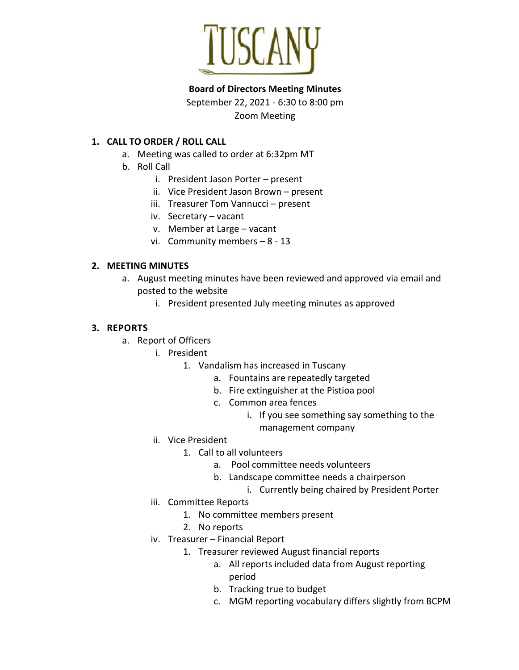

## **Board of Directors Meeting Minutes**

September 22, 2021 - 6:30 to 8:00 pm Zoom Meeting

### **1. CALL TO ORDER / ROLL CALL**

- a. Meeting was called to order at 6:32pm MT
- b. Roll Call
	- i. President Jason Porter present
	- ii. Vice President Jason Brown present
	- iii. Treasurer Tom Vannucci present
	- iv. Secretary vacant
	- v. Member at Large vacant
	- vi. Community members 8 13

## **2. MEETING MINUTES**

- a. August meeting minutes have been reviewed and approved via email and posted to the website
	- i. President presented July meeting minutes as approved

## **3. REPORTS**

- a. Report of Officers
	- i. President
		- 1. Vandalism has increased in Tuscany
			- a. Fountains are repeatedly targeted
			- b. Fire extinguisher at the Pistioa pool
			- c. Common area fences
				- i. If you see something say something to the management company
	- ii. Vice President
		- 1. Call to all volunteers
			- a. Pool committee needs volunteers
			- b. Landscape committee needs a chairperson
				- i. Currently being chaired by President Porter
	- iii. Committee Reports
		- 1. No committee members present
		- 2. No reports
	- iv. Treasurer Financial Report
		- 1. Treasurer reviewed August financial reports
			- a. All reports included data from August reporting period
			- b. Tracking true to budget
			- c. MGM reporting vocabulary differs slightly from BCPM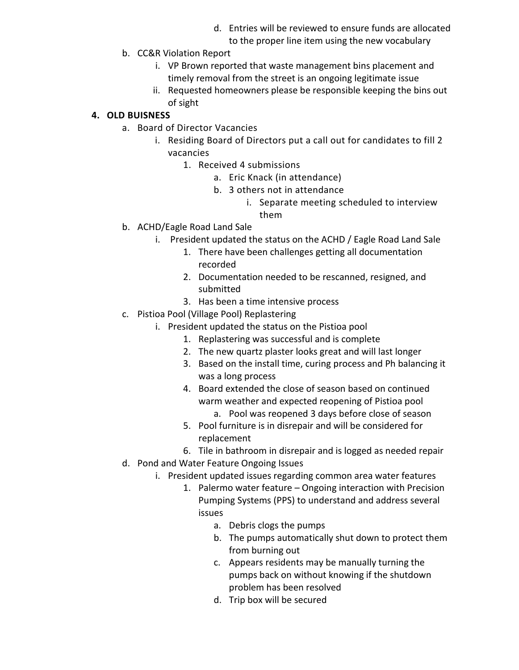- d. Entries will be reviewed to ensure funds are allocated to the proper line item using the new vocabulary
- b. CC&R Violation Report
	- i. VP Brown reported that waste management bins placement and timely removal from the street is an ongoing legitimate issue
	- ii. Requested homeowners please be responsible keeping the bins out of sight

## **4. OLD BUISNESS**

- a. Board of Director Vacancies
	- i. Residing Board of Directors put a call out for candidates to fill 2 vacancies
		- 1. Received 4 submissions
			- a. Eric Knack (in attendance)
			- b. 3 others not in attendance
				- i. Separate meeting scheduled to interview them
- b. ACHD/Eagle Road Land Sale
	- i. President updated the status on the ACHD / Eagle Road Land Sale
		- 1. There have been challenges getting all documentation recorded
		- 2. Documentation needed to be rescanned, resigned, and submitted
		- 3. Has been a time intensive process
- c. Pistioa Pool (Village Pool) Replastering
	- i. President updated the status on the Pistioa pool
		- 1. Replastering was successful and is complete
		- 2. The new quartz plaster looks great and will last longer
		- 3. Based on the install time, curing process and Ph balancing it was a long process
		- 4. Board extended the close of season based on continued warm weather and expected reopening of Pistioa pool
			- a. Pool was reopened 3 days before close of season
		- 5. Pool furniture is in disrepair and will be considered for replacement
		- 6. Tile in bathroom in disrepair and is logged as needed repair
- d. Pond and Water Feature Ongoing Issues
	- i. President updated issues regarding common area water features
		- 1. Palermo water feature Ongoing interaction with Precision Pumping Systems (PPS) to understand and address several issues
			- a. Debris clogs the pumps
			- b. The pumps automatically shut down to protect them from burning out
			- c. Appears residents may be manually turning the pumps back on without knowing if the shutdown problem has been resolved
			- d. Trip box will be secured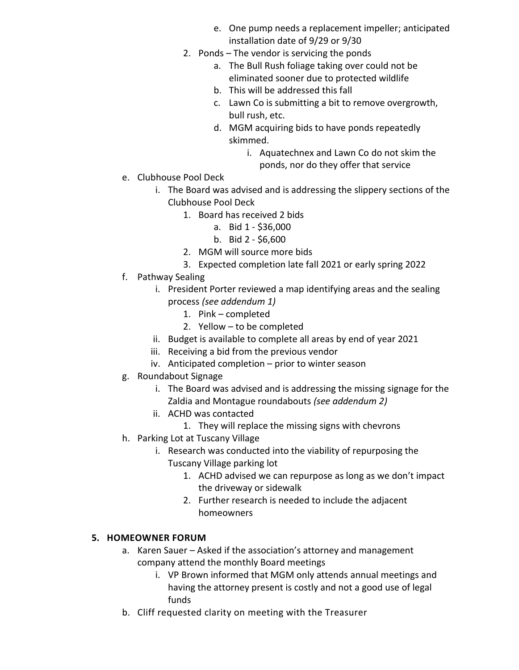- e. One pump needs a replacement impeller; anticipated installation date of 9/29 or 9/30
- 2. Ponds The vendor is servicing the ponds
	- a. The Bull Rush foliage taking over could not be eliminated sooner due to protected wildlife
	- b. This will be addressed this fall
	- c. Lawn Co is submitting a bit to remove overgrowth, bull rush, etc.
	- d. MGM acquiring bids to have ponds repeatedly skimmed.
		- i. Aquatechnex and Lawn Co do not skim the ponds, nor do they offer that service
- e. Clubhouse Pool Deck
	- i. The Board was advised and is addressing the slippery sections of the Clubhouse Pool Deck
		- 1. Board has received 2 bids
			- a. Bid 1 \$36,000
			- b. Bid 2 \$6,600
		- 2. MGM will source more bids
		- 3. Expected completion late fall 2021 or early spring 2022
- f. Pathway Sealing
	- i. President Porter reviewed a map identifying areas and the sealing process *(see addendum 1)*
		- 1. Pink completed
		- 2. Yellow to be completed
	- ii. Budget is available to complete all areas by end of year 2021
	- iii. Receiving a bid from the previous vendor
	- iv. Anticipated completion prior to winter season
- g. Roundabout Signage
	- i. The Board was advised and is addressing the missing signage for the Zaldia and Montague roundabouts *(see addendum 2)*
	- ii. ACHD was contacted
		- 1. They will replace the missing signs with chevrons
- h. Parking Lot at Tuscany Village
	- i. Research was conducted into the viability of repurposing the Tuscany Village parking lot
		- 1. ACHD advised we can repurpose as long as we don't impact the driveway or sidewalk
		- 2. Further research is needed to include the adjacent homeowners

# **5. HOMEOWNER FORUM**

- a. Karen Sauer Asked if the association's attorney and management company attend the monthly Board meetings
	- i. VP Brown informed that MGM only attends annual meetings and having the attorney present is costly and not a good use of legal funds
- b. Cliff requested clarity on meeting with the Treasurer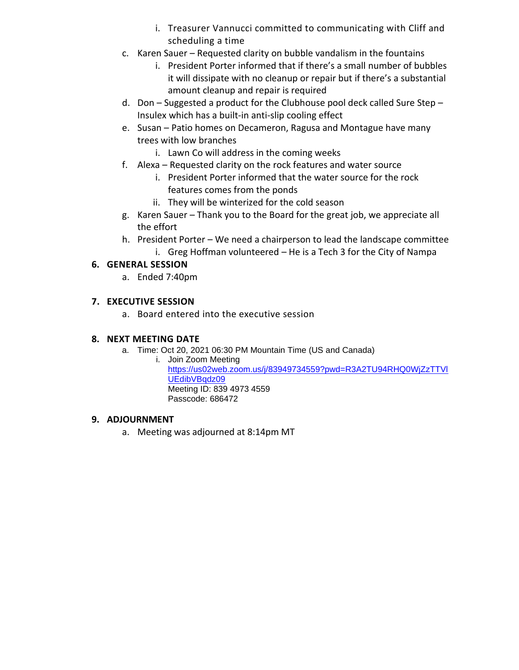- i. Treasurer Vannucci committed to communicating with Cliff and scheduling a time
- c. Karen Sauer Requested clarity on bubble vandalism in the fountains
	- i. President Porter informed that if there's a small number of bubbles it will dissipate with no cleanup or repair but if there's a substantial amount cleanup and repair is required
- d. Don Suggested a product for the Clubhouse pool deck called Sure Step Insulex which has a built-in anti-slip cooling effect
- e. Susan Patio homes on Decameron, Ragusa and Montague have many trees with low branches
	- i. Lawn Co will address in the coming weeks
- f. Alexa Requested clarity on the rock features and water source
	- i. President Porter informed that the water source for the rock features comes from the ponds
		- ii. They will be winterized for the cold season
- g. Karen Sauer Thank you to the Board for the great job, we appreciate all the effort
- h. President Porter We need a chairperson to lead the landscape committee i. Greg Hoffman volunteered – He is a Tech 3 for the City of Nampa

# **6. GENERAL SESSION**

a. Ended 7:40pm

## **7. EXECUTIVE SESSION**

a. Board entered into the executive session

### **8. NEXT MEETING DATE**

- a. Time: Oct 20, 2021 06:30 PM Mountain Time (US and Canada)
	- i. Join Zoom Meeting https://us02web.zoom.us/j/83949734559?pwd=R3A2TU94RHQ0WjZzTTVl UEdibVBqdz09 Meeting ID: 839 4973 4559 Passcode: 686472

#### **9. ADJOURNMENT**

a. Meeting was adjourned at 8:14pm MT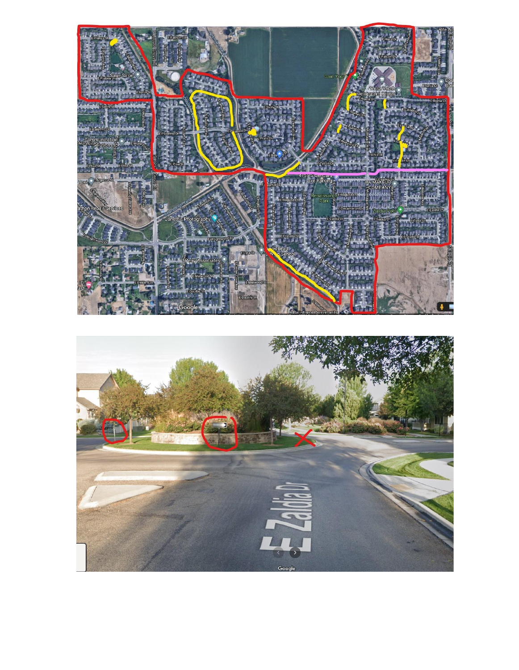